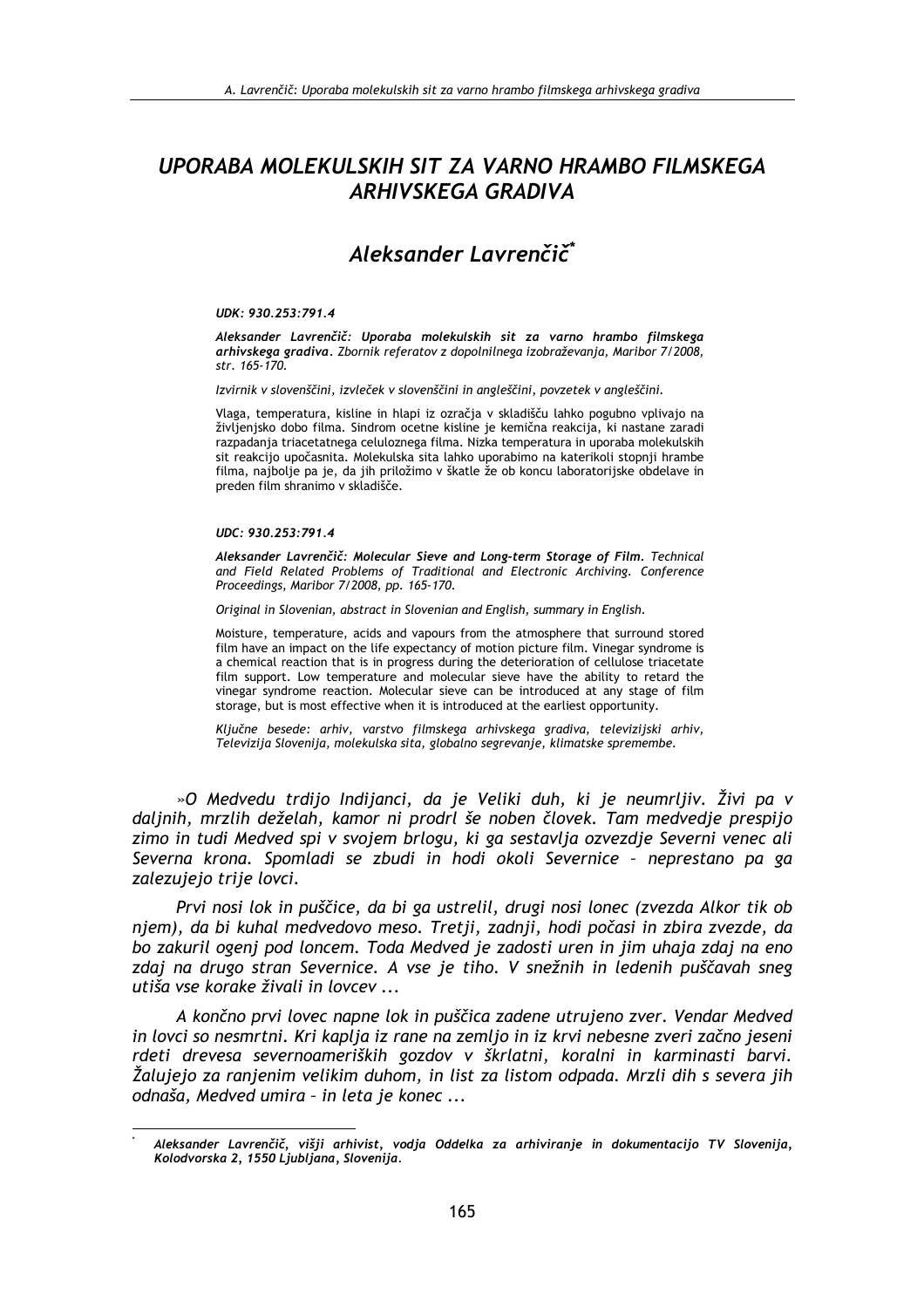## UPORABA MOLEKULSKIH SIT ZA VARNO HRAMBO FILMSKEGA **ARHIVSKEGA GRADIVA**

# Aleksander Lavrenčič<sup>\*</sup>

#### UDK: 930.253:791.4

Aleksander Lavrenčič: Uporaba molekulskih sit za varno hrambo filmskega arhivskega gradiva. Zbornik referatov z dopolnilnega izobraževanja, Maribor 7/2008, str. 165-170.

Izvirnik v slovenščini, izvleček v slovenščini in angleščini, povzetek v angleščini.

Vlaga, temperatura, kisline in hlapi iz ozračja v skladišču lahko pogubno vplivajo na živlienisko dobo filma. Sindrom ocetne kisline je kemična reakcija, ki nastane zaradi razpadanja triacetatnega celuloznega filma. Nizka temperatura in uporaba molekulskih sit reakcijo upočasnita. Molekulska sita lahko uporabimo na katerikoli stopnji hrambe filma, najbolje pa je, da jih priložimo v škatle že ob koncu laboratorijske obdelave in preden film shranimo v skladišče.

#### UDC: 930.253:791.4

Aleksander Lavrenčič: Molecular Sieve and Long-term Storage of Film. Technical and Field Related Problems of Traditional and Electronic Archiving. Conference Proceedings, Maribor 7/2008, pp. 165-170.

Original in Slovenian, abstract in Slovenian and English, summary in English.

Moisture, temperature, acids and vapours from the atmosphere that surround stored film have an impact on the life expectancy of motion picture film. Vinegar syndrome is a chemical reaction that is in progress during the deterioration of cellulose triacetate film support. Low temperature and molecular sieve have the ability to retard the vinegar syndrome reaction. Molecular sieve can be introduced at any stage of film storage, but is most effective when it is introduced at the earliest opportunity.

Ključne besede: arhiv, varstvo filmskega arhivskega gradiva, televizijski arhiv, Televizija Slovenija, molekulska sita, globalno segrevanje, klimatske spremembe.

»O Medvedu trdijo Indijanci, da je Veliki duh, ki je neumrljiv. Živi pa v daljnih, mrzlih deželah, kamor ni prodrl še noben človek. Tam medvedje prespijo zimo in tudi Medved spi v svojem brlogu, ki ga sestavlja ozvezdje Severni venec ali Severna krona. Spomladi se zbudi in hodi okoli Severnice - neprestano pa ga zalezujejo trije lovci.

Prvi nosi lok in puščice, da bi ga ustrelil, drugi nosi lonec (zvezda Alkor tik ob niem), da bi kuhal medvedovo meso. Tretii, zadnii, hodi počasi in zbira zvezde, da bo zakuril ogenj pod loncem. Toda Medved je zadosti uren in jim uhaja zdaj na eno zdaj na drugo stran Severnice. A vse je tiho. V snežnih in ledenih puščavah sneg utiša vse korake živali in lovcev ...

A končno prvi lovec napne lok in puščica zadene utrujeno zver. Vendar Medved in lovci so nesmrtni. Kri kaplja iz rane na zemljo in iz krvi nebesne zveri začno jeseni rdeti drevesa severnoameriških gozdov v škrlatni, koralni in karminasti barvi. Žalujejo za ranjenim velikim duhom, in list za listom odpada. Mrzli dih s severa jih odnaša, Medved umira - in leta je konec ...

Aleksander Lavrenčič, višji arhivist, vodja Oddelka za arhiviranje in dokumentacijo TV Slovenija, Kolodvorska 2, 1550 Ljubljana, Slovenija.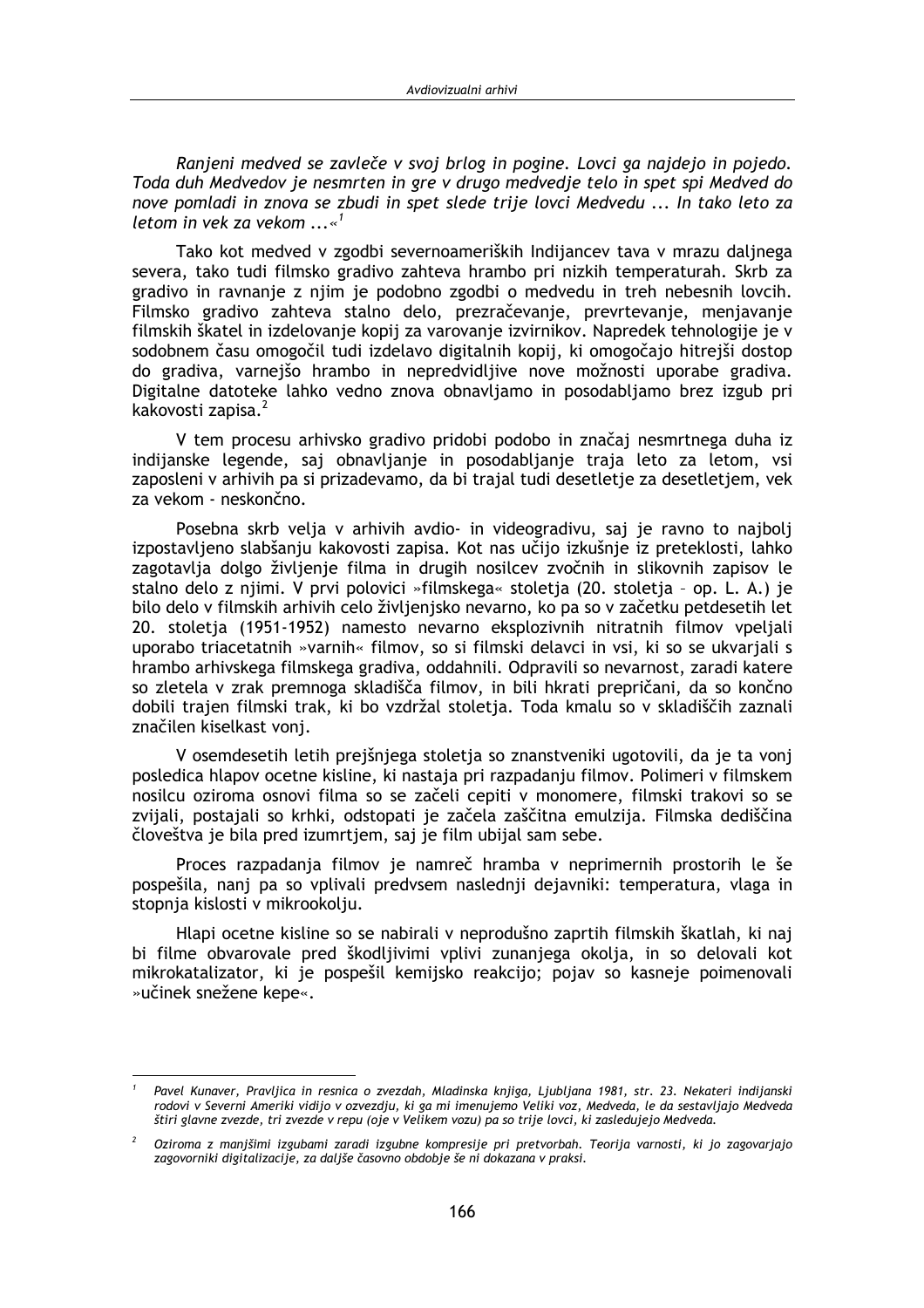Ranieni medved se zavleče v svoj brlog in pogine. Lovci ga najdejo in pojedo. Toda duh Medvedov je nesmrten in gre v drugo medvedje telo in spet spi Medved do nove pomladi in znova se zbudi in spet slede trije lovci Medvedu ... In tako leto za letom in vek za vekom  $...$ 

Tako kot medved v zgodbi severnoameriških Indijancev tava v mrazu dalinega severa, tako tudi filmsko gradivo zahteva hrambo pri nizkih temperaturah. Skrb za gradivo in ravnanje z njim je podobno zgodbi o medvedu in treh nebesnih lovcih. Filmsko gradivo zahteva stalno delo, prezračevanje, prevrtevanje, menjavanje filmskih škatel in izdelovanje kopij za varovanje izvirnikov. Napredek tehnologije je v sodobnem času omogočil tudi izdelavo digitalnih kopij, ki omogočajo hitrejši dostop do gradiva, varnejšo hrambo in nepredvidljive nove možnosti uporabe gradiva. Digitalne datoteke lahko vedno znova obnavljamo in posodabljamo brez izgub pri kakovosti zapisa.<sup>2</sup>

V tem procesu arhivsko gradivo pridobi podobo in značaj nesmrtnega duha iz indijanske legende, saj obnavljanje in posodabljanje traja leto za letom, vsi zaposleni v arhivih pa si prizadevamo, da bi trajal tudi desetletje za desetletjem, vek za vekom - neskončno.

Posebna skrb velja v arhivih avdio- in videogradivu, saj je ravno to najbolj izpostavljeno slabšanju kakovosti zapisa. Kot nas učijo izkušnje iz preteklosti, lahko zagotavlja dolgo življenje filma in drugih nosilcev zvočnih in slikovnih zapisov le stalno delo z niimi. V prvi polovici »filmskega« stoletja (20. stoletja - op. L. A.) je bilo delo v filmskih arhivih celo življenjsko nevarno, ko pa so v začetku petdesetih let 20. stoletja (1951-1952) namesto nevarno eksplozivnih nitratnih filmov vpeljali uporabo triacetatnih »varnih« filmov, so si filmski delavci in vsi, ki so se ukvariali s hrambo arhivskega filmskega gradiva, oddahnili. Odpravili so nevarnost, zaradi katere so zletela v zrak premnoga skladišča filmov, in bili hkrati prepričani, da so končno dobili trajen filmski trak, ki bo vzdržal stoletja. Toda kmalu so v skladiščih zaznali značilen kiselkast voni.

V osemdesetih letih prejšnjega stoletja so znanstveniki ugotovili, da je ta vonj posledica hlapov ocetne kisline, ki nastaja pri razpadanju filmov. Polimeri v filmskem nosilcu oziroma osnovi filma so se začeli cepiti v monomere, filmski trakovi so se zvijali, postajali so krhki, odstopati je začela zaščitna emulzija. Filmska dediščina človeštva je bila pred izumrtjem, saj je film ubijal sam sebe.

Proces razpadanja filmov je namreč hramba v neprimernih prostorih le še pospešila, nanj pa so vplivali predvsem naslednji dejavniki: temperatura, vlaga in stopnja kislosti v mikrookolju.

Hlapi ocetne kisline so se nabirali v neprodušno zaprtih filmskih škatlah, ki naj bi filme obvarovale pred škodljivimi vplivi zunanjega okolja, in so delovali kot mikrokatalizator, ki je pospešil kemijsko reakcijo; pojav so kasneje poimenovali »učinek snežene kepe«.

Pavel Kunaver, Pravljica in resnica o zvezdah, Mladinska knjiga, Ljubljana 1981, str. 23. Nekateri indijanski rodovi v Severni Ameriki vidijo v ozvezdju, ki ga mi imenujemo Veliki voz, Medveda, le da sestavljajo Medveda štiri glavne zvezde, tri zvezde v repu (oje v Velikem vozu) pa so trije lovci, ki zasledujejo Medveda.

Oziroma z manjšimi izgubami zaradi izgubne kompresije pri pretvorbah. Teorija varnosti, ki jo zagovarjajo zagovorniki digitalizacije, za daljše časovno obdobje še ni dokazana v praksi.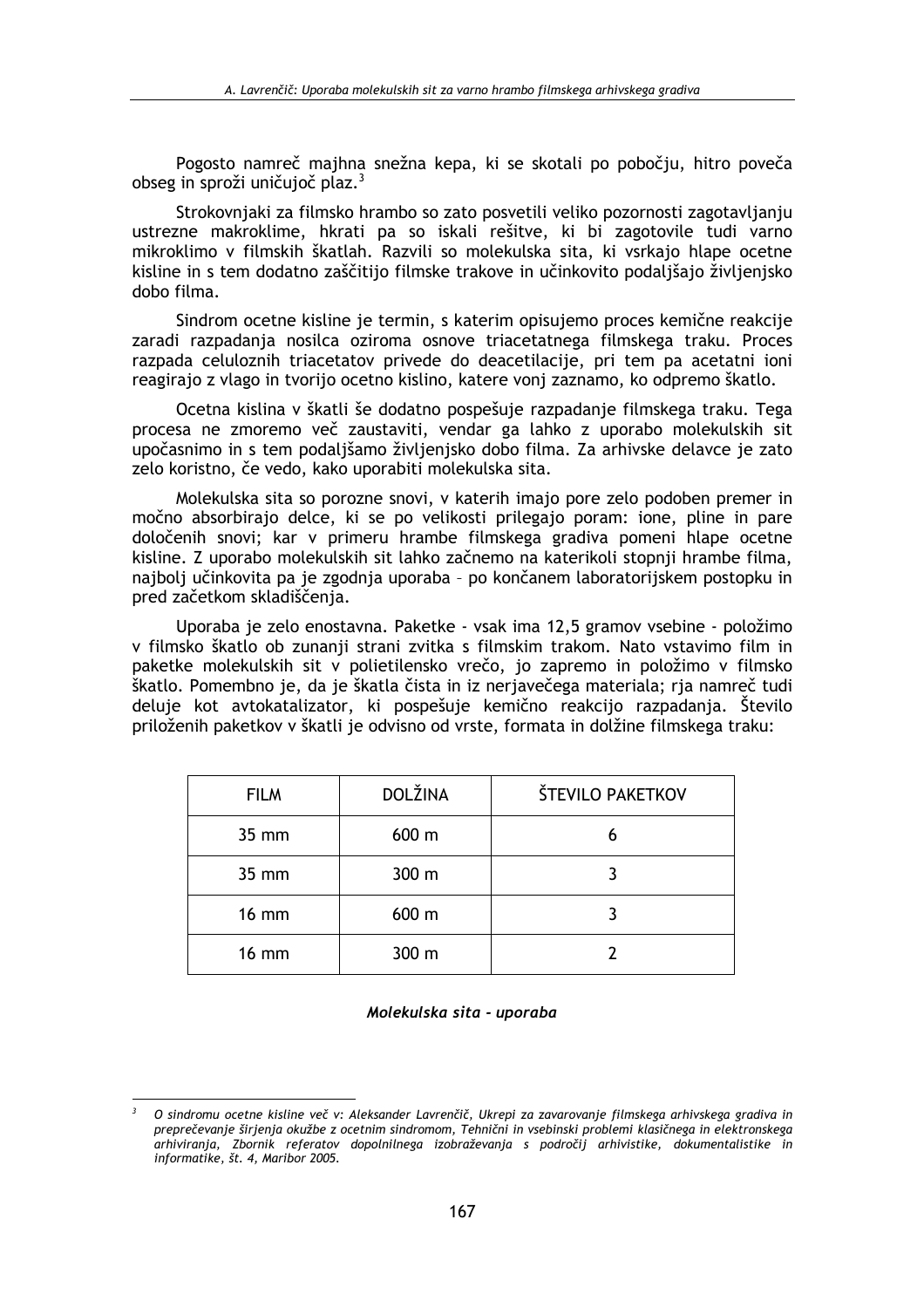Pogosto namreč majhna snežna kepa, ki se skotali po pobočju, hitro poveča obseg in sproži uničuioč plaz.<sup>3</sup>

Strokovnjaki za filmsko hrambo so zato posvetili veliko pozornosti zagotavljanju ustrezne makroklime, hkrati pa so iskali rešitve, ki bi zagotovile tudi varno mikroklimo v filmskih škatlah. Razvili so molekulska sita, ki vsrkajo hlape ocetne kisline in s tem dodatno zaščitijo filmske trakove in učinkovito podaljšajo življenjsko dobo filma.

Sindrom ocetne kisline je termin, s katerim opisujemo proces kemične reakcije zaradi razpadanja nosilca oziroma osnove triacetatnega filmskega traku. Proces razpada celuloznih triacetatov privede do deacetilacije, pri tem pa acetatni ioni reagirajo z vlago in tvorijo ocetno kislino, katere vonj zaznamo, ko odpremo škatlo.

Ocetna kislina v škatli še dodatno pospešuje razpadanje filmskega traku. Tega procesa ne zmoremo več zaustaviti, vendar ga lahko z uporabo molekulskih sit upočasnimo in s tem podaljšamo življenjsko dobo filma. Za arhivske delavce je zato zelo koristno, če vedo, kako uporabiti molekulska sita.

Molekulska sita so porozne snovi, v katerih imajo pore zelo podoben premer in močno absorbirajo delce, ki se po velikosti prilegajo poram: ione, pline in pare določenih snovi; kar v primeru hrambe filmskega gradiva pomeni hlape ocetne kisline. Z uporabo molekulskih sit lahko začnemo na katerikoli stopnji hrambe filma, najbolj učinkovita pa je zgodnja uporaba - po končanem laboratorijskem postopku in pred začetkom skladiščenja.

Uporaba je zelo enostavna. Paketke - vsak ima 12,5 gramov vsebine - položimo v filmsko škatlo ob zunanji strani zvitka s filmskim trakom. Nato vstavimo film in paketke molekulskih sit v polietilensko vrečo, jo zapremo in položimo v filmsko škatlo. Pomembno je, da je škatla čista in iz nerjavečega materiala; rja namreč tudi deluje kot avtokatalizator, ki pospešuje kemično reakcijo razpadanja. Število priloženih paketkov v škatli je odvisno od vrste, formata in dolžine filmskega traku:

| <b>FILM</b>  | DOLŽINA | ŠTEVILO PAKETKOV |
|--------------|---------|------------------|
| 35 mm        | 600 m   | 6                |
| 35 mm        | 300 m   |                  |
| <b>16 mm</b> | 600 m   |                  |
| <b>16 mm</b> | 300 m   |                  |

#### Molekulska sita - uporaba

O sindromu ocetne kisline več v: Aleksander Lavrenčič, Ukrepi za zavarovanje filmskega arhivskega gradiva in preprečevanje širjenja okužbe z ocetnim sindromom, Tehnični in vsebinski problemi klasičnega in elektronskega arhiviranja, Zbornik referatov dopolnilnega izobraževanja s področij arhivistike, dokumentalistike in informatike, št. 4, Maribor 2005.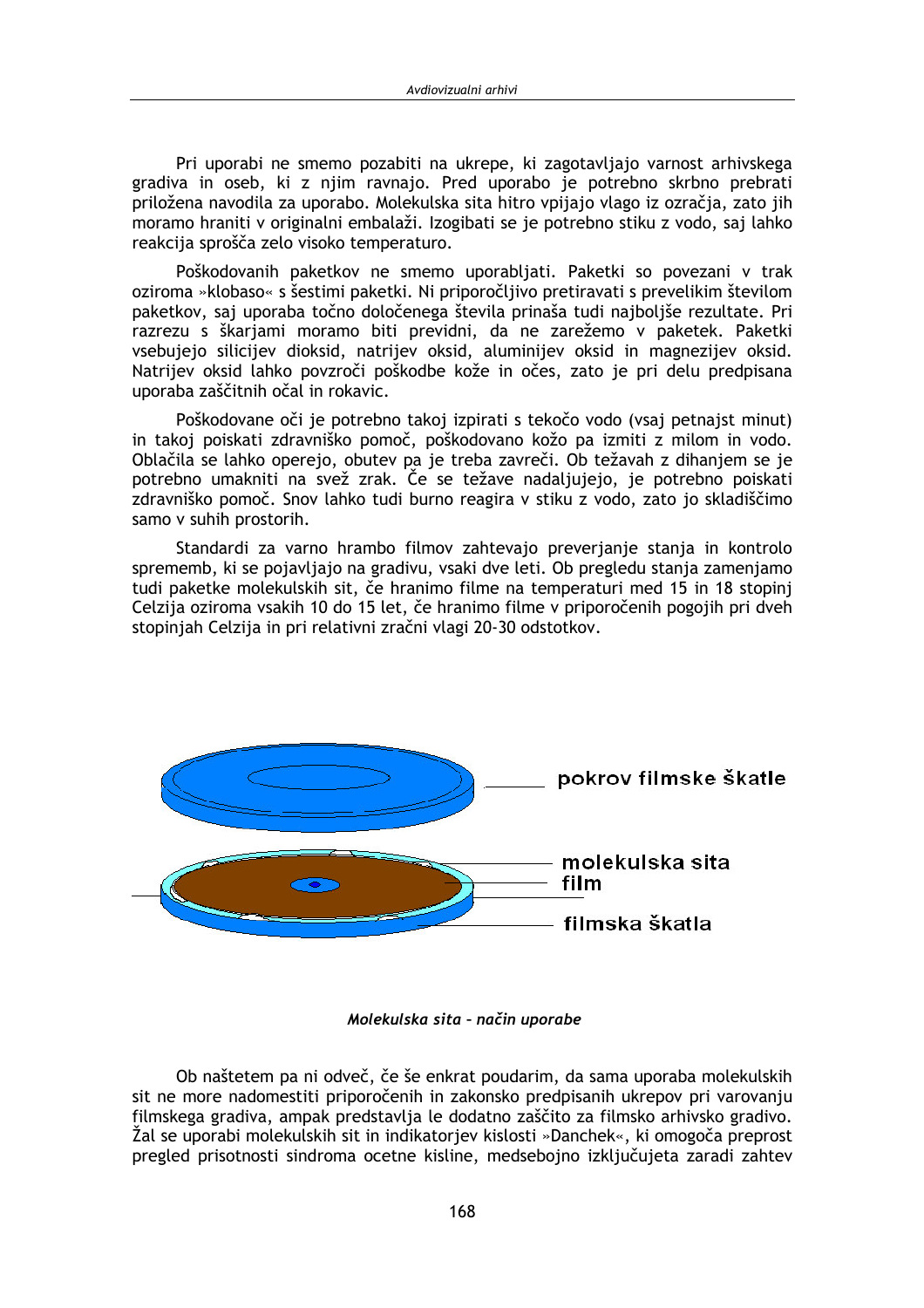Pri uporabi ne smemo pozabiti na ukrepe, ki zagotavliajo varnost arhivskega gradiva in oseb, ki z niim ravnaio. Pred uporabo je potrebno skrbno prebrati priložena navodila za uporabo. Molekulska sita hitro vpijajo vlago iz ozračia, zato jih moramo hraniti v originalni embalaži. Izogibati se je potrebno stiku z vodo, saj lahko reakcija sprošča zelo visoko temperaturo.

Poškodovanih paketkov ne smemo uporabljati. Paketki so povezani v trak oziroma »klobaso« s šestimi paketki. Ni priporočljivo pretiravati s prevelikim številom paketkov, saj uporaba točno določenega števila prinaša tudi najboljše rezultate. Pri razrezu s škarjami moramo biti previdni, da ne zarežemo v paketek. Paketki vsebujejo silicijev dioksid, natrijev oksid, aluminijev oksid in magnezijev oksid. Natrijev oksid lahko povzroči poškodbe kože in očes, zato je pri delu predpisana uporaba zaščitnih očal in rokavic.

Poškodovane oči je potrebno takoj izpirati s tekočo vodo (vsaj petnajst minut) in takoj poiskati zdravniško pomoč, poškodovano kožo pa izmiti z milom in vodo. Oblačila se lahko operejo, obutev pa je treba zavreči. Ob težavah z dihanjem se je potrebno umakniti na svež zrak. Če se težave nadaljujejo, je potrebno poiskati zdravniško pomoč. Snov lahko tudi burno reagira v stiku z vodo, zato jo skladiščimo samo v suhih prostorih.

Standardi za varno hrambo filmov zahtevajo preverjanje stanja in kontrolo sprememb, ki se pojavljajo na gradivu, vsaki dve leti. Ob pregledu stanja zamenjamo tudi paketke molekulskih sit, če hranimo filme na temperaturi med 15 in 18 stopinj Celzija oziroma vsakih 10 do 15 let, če hranimo filme v priporočenih pogojih pri dveh stopinjah Celzija in pri relativni zračni vlagi 20-30 odstotkov.



Molekulska sita - način uporabe

Ob naštetem pa ni odveč, če še enkrat poudarim, da sama uporaba molekulskih sit ne more nadomestiti priporočenih in zakonsko predpisanih ukrepov pri varovanju filmskega gradiva, ampak predstavlja le dodatno zaščito za filmsko arhivsko gradivo. Žal se uporabi molekulskih sit in indikatorjev kislosti »Danchek«, ki omogoča preprost pregled prisotnosti sindroma ocetne kisline, medsebojno izključujeta zaradi zahtev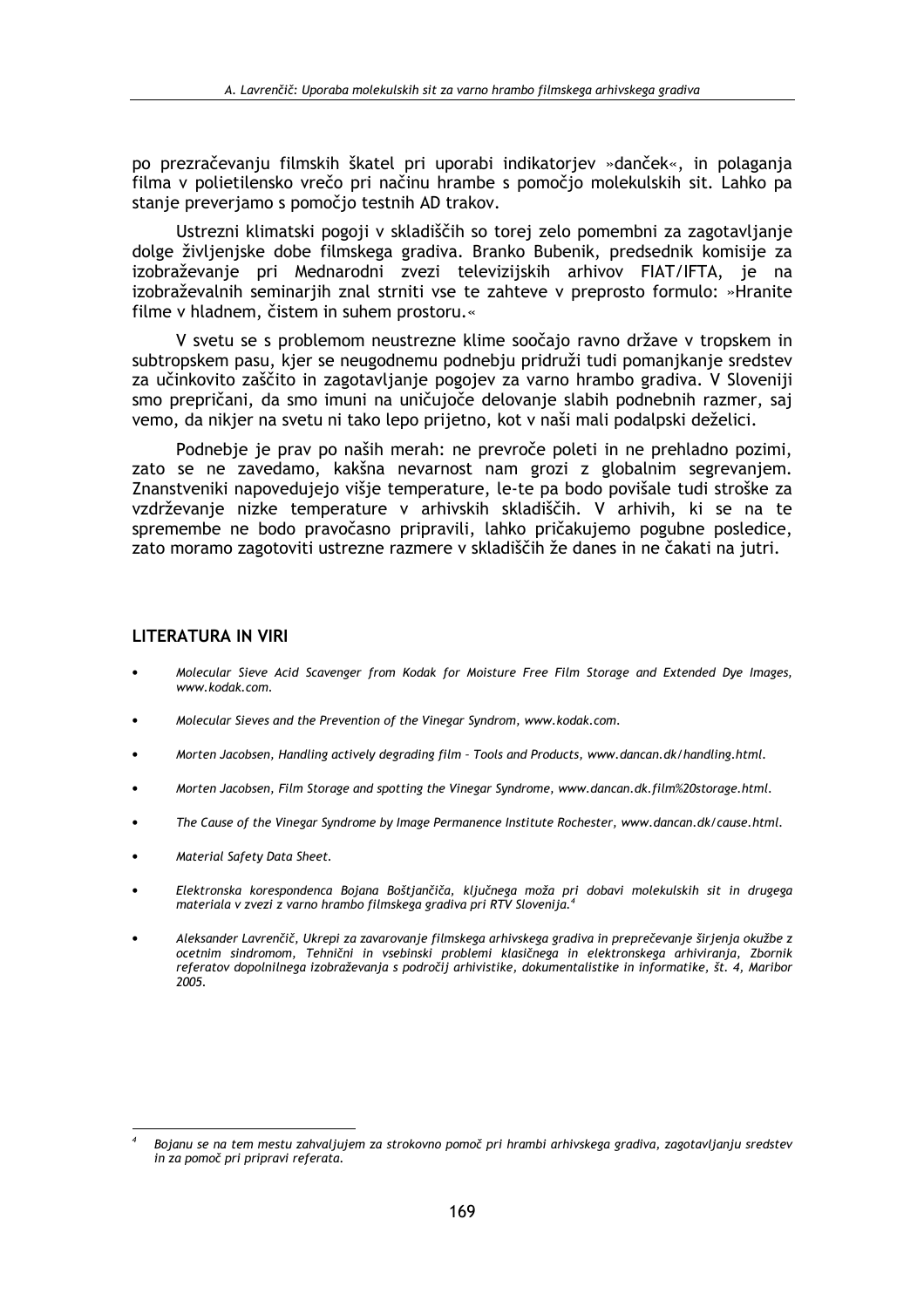po prezračevanju filmskih škatel pri uporabi indikatoriev »danček«, in polaganja filma v polietilensko vrečo pri načinu hrambe s pomočjo molekulskih sit. Lahko pa stanie preveriamo s pomočio testnih AD trakov.

Ustrezni klimatski pogoji v skladiščih so torej zelo pomembni za zagotavljanje dolge življenjske dobe filmskega gradiva. Branko Bubenik, predsednik komisije za izobraževanje pri Mednarodni zvezi televizijskih arhivov FIAT/IFTA, je na izobraževalnih seminarjih znal strniti vse te zahteve v preprosto formulo: »Hranite filme v hladnem, čistem in suhem prostoru.«

V svetu se s problemom neustrezne klime soočajo ravno države v tropskem in subtropskem pasu, kjer se neugodnemu podnebju pridruži tudi pomanjkanje sredstev za učinkovito zaščito in zagotavljanje pogojev za varno hrambo gradiva. V Sloveniji smo prepričani, da smo imuni na uničujoče delovanje slabih podnebnih razmer, saj vemo, da nikjer na svetu ni tako lepo prijetno, kot v naši mali podalpski deželici.

Podnebje je prav po naših merah: ne prevroče poleti in ne prehladno pozimi, zato se ne zavedamo, kakšna nevarnost nam grozi z globalnim segrevanjem. Znanstveniki napovedujejo višje temperature, le-te pa bodo povišale tudi stroške za vzdrževanje nizke temperature v arhivskih skladiščih. V arhivih, ki se na te spremembe ne bodo pravočasno pripravili, lahko pričakujemo pogubne posledice, zato moramo zagotoviti ustrezne razmere v skladiščih že danes in ne čakati na jutri.

### **LITERATURA IN VIRI**

- Molecular Sieve Acid Scavenger from Kodak for Moisture Free Film Storage and Extended Dye Images, www.kodak.com.
- Molecular Sieves and the Prevention of the Vinegar Syndrom, www.kodak.com.
- Morten Jacobsen, Handling actively degrading film Tools and Products, www.dancan.dk/handling.html.
- Morten Jacobsen, Film Storage and spotting the Vinegar Syndrome, www.dancan.dk.film%20storage.html.
- The Cause of the Vinegar Syndrome by Image Permanence Institute Rochester, www.dancan.dk/cause.html.
- Material Safety Data Sheet.
- Elektronska korespondenca Bojana Boštjančiča, ključnega moža pri dobavi molekulskih sit in drugega materiala v zvezi z varno hrambo filmskega gradiva pri RTV Slovenija.<sup>4</sup>
- Aleksander Lavrenčič, Ukrepi za zavarovanje filmskega arhivskega gradiva in preprečevanje širjenja okužbe z ocetnim sindromom, Tehnični in vsebinski problemi klasičnega in elektronskega arhiviranja, Zbornik referatov dopolnilnega izobraževanja s področij arhivistike, dokumentalistike in informatike, št. 4, Maribor 2005.

Bojanu se na tem mestu zahvaljujem za strokovno pomoč pri hrambi arhivskega gradiva, zagotavljanju sredstev in za pomoč pri pripravi referata.